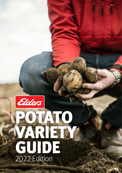# POTATO VARIETY GUIDE 2022 Edition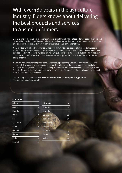### With over 180 years in the agriculture industry, Elders knows about delivering the best products and services to Australian farmers.

Elders is one of the leading, independent suppliers of fresh PBR potatoes offering potato growers and packers high yielding, low disease and market ready potatoes that provide improvements in yield and efficiency for the industry that every part of the value chain can benefit from.

What started with a handful of varieties has now grown into a collection of over 35 Plant Breeder's Rights (PBR) potato varieties in various stages of commercialisation, with more in development. Our certified seed of PBR potato varieties provide unique points of difference, including high yields, low disease status, higher general disease resistance, and opportunity for diverse cooking styles and eating experiences.

We have a dedicated team of potato specialists that support the importation and development of new potato varieties, manage seed production and provide solutions to the potato industry, particularly Australian potato growers. Our specialist offering is supported by a retail network that spans right across Australia. Through this network we possess local awareness of growers' needs complimented by national reach and distribution capabilities.

Keep reading or visit our website **www.eldersrural.com.au/rural-products/potatoes** to learn more about our varieties.

#### **Contents**

| Allora        | 4               | Kingsman  | 15 |
|---------------|-----------------|-----------|----|
| Amany         | 5               | Lanorma   | 16 |
| <b>Bounty</b> | 6               | Laperla   | 17 |
| Daisy         | 7               | La Strada | 18 |
| Eva           | 8               | Malou     | 19 |
| Excalibur     | 9               | Manhattan | 20 |
| Fidelia       | 10              | Merlot    | 22 |
| Gatsby        | 11              | Nadine    | 23 |
| Harmony       | 12              | Noha      | 24 |
| Kelly         | 13              | Valor     | 25 |
| Kestrel       | $1\overline{4}$ |           |    |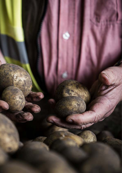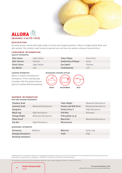

<span id="page-3-0"></span>

An early season variety with high yields of round oval shaped potatoes. Allora is bright yellow flesh and skin potato. The variety is well suited to general use and has nice potato culinary characteristics.

#### **consumer information**

| <b>OUALITY ATTRIBUTES</b> |  |
|---------------------------|--|
|                           |  |

| <b>Skin Colour</b>  | Light Yellow | <b>Tuber Shape</b>         | Short Oval |
|---------------------|--------------|----------------------------|------------|
| <b>Skin Texture</b> | Smooth       | <b>Uniformity of Shape</b> | Good       |
| <b>Flesh Colour</b> | Light Yellow | Eye Depth                  | Shallow    |
| <b>Dry Matter</b>   | 19%          | Carbohydrate               | 12%        |

#### **cooking attributes**

Allora is suited to boiling and microwave. A firm cooking type of potato with fine potato flavour typical in yellow fleshed potatoes.

#### **suggested cooking styles**



#### **grower information**

**pest and disease resistance** 

| <b>Powdery Scab</b>         |                     | <b>Tuber Blight</b>           | Moderate Resistance |
|-----------------------------|---------------------|-------------------------------|---------------------|
| <b>Common Scab</b>          | Moderate Resistance | <b>Potato Leaf Roll Virus</b> | Moderate Resistance |
| Gangrene                    |                     | <b>Potato Virus Y</b>         | High Resistance     |
| <b>Black Leg</b>            | High Resistance     | <b>PCN RO1</b>                | Resistant           |
| <b>Foliage Blight</b>       | Moderate Resistance | PCN pallida (2,3)             |                     |
| <b>Silver Scurf</b>         |                     | <b>Black Dot</b>              | Moderate Resistance |
| <b>Dry Rot</b>              | High Resistance     | <b>Rhizoctonia</b>            |                     |
| <b>AGRONOMIC ATTRIBUTES</b> |                     |                               |                     |
| <b>Dormancy</b>             | Medium              | <b>Maturity</b>               | Early Crop          |
| <b>Damage Resistance</b>    |                     | Yield                         | High                |

**Bruising resistance**

**4**

Information here is a guide only. Results can vary greatly depending on climate, soil and local circumstances. This information sheet should not be used as a replacement for expert advice or judgement. All liability is excluded to the full extent permitted by law.

The variety Allora is protected under the Plant Breeder's Rights Act, 1994. Unlawful propagation of Allora is an offence under the Act.

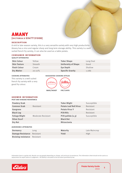#### <span id="page-4-0"></span>AMANY **[victoria x G94TT131008]**

#### **description**

A mid to late season variety, this is a very versatile variety with very high productivity. Amany has a nice and regular sharp and long term storage ability. This variety is a well suited french fry variety, it can also be used as a table potato.

#### **consumer information**

|  |  |  | <b>QUALITY ATTRIBUTES</b> |
|--|--|--|---------------------------|
|  |  |  |                           |

| <b>Skin Colour</b>  | Yellow      | <b>Tuber Shape</b>         | Long Oval |
|---------------------|-------------|----------------------------|-----------|
| <b>Skin Texture</b> | Smooth      | <b>Uniformity of Shape</b> | Good      |
| <b>Flesh Colour</b> | Cream       | Eye Depth                  | Shallow   |
| <b>Dry Matter</b>   | $20 - 22\%$ | <b>Specific Gravity</b>    | 1.086     |

#### **cooking attributes**

This variety is a well suited french fry variety with a very good fry colour.

#### **suggested cooking styles**



#### **grower information**

**pest and disease resistance** 

| <b>Powdery Scab</b>   |                    | <b>Tuber Blight</b>           | Susceptible |
|-----------------------|--------------------|-------------------------------|-------------|
| <b>Common Scab</b>    | Resistant          | <b>Potato Leaf Roll Virus</b> | Resistant   |
| Gangrene              |                    | <b>Potato Virus Y</b>         | Resistant   |
| <b>Black Leg</b>      |                    | <b>PCN RO1</b>                | Resistant   |
| <b>Foliage Blight</b> | Moderate Resistant | PCN pallida (2,3)             | Susceptible |
| <b>Silver Scurf</b>   |                    | <b>Black Dot</b>              |             |
| <b>Dry Rot</b>        |                    | Rhizoctonia                   |             |
|                       |                    |                               |             |

#### **agronomic attributes**

| <b>Dormancy</b>                      | Long | <b>Maturity</b> | Late Maincrop |
|--------------------------------------|------|-----------------|---------------|
| Damage Resistance Resistant          |      | Yield           | High          |
| <b>Bruising resistance</b> Resistant |      |                 |               |

Information here is a guide only. Results can vary greatly depending on climate, soil and local circumstances. This information sheet should not be used as a replacement for expert advice or judgement. All liability is excluded to the full extent permitted by law.

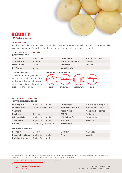

#### <span id="page-5-0"></span>BOUNTY **[85G040 x valor]**

#### **description**

A mid season variety with high yields of round oval shaped potatoes. Bounty has a bright cream skin and is a cream flesh potato. The variety is well suited to the general market and yields very well.

#### **consumer information**

| <b>QUALITY ATTRIBUTES</b> |  |
|---------------------------|--|
|                           |  |

| <b>Skin Colour</b>  | <b>Bright Cream</b> | <b>Tuber Shape</b>         | Round Short Oval |
|---------------------|---------------------|----------------------------|------------------|
| <b>Skin Texture</b> | Smooth              | <b>Uniformity of Shape</b> | Very Good        |
| <b>Flesh Colour</b> | Cream               | Eye Depth                  | Shallow          |
| <b>Dry Matter</b>   | Medium              | Carbohydrate               |                  |

#### **Cooking Attributes**

Excellent potato for general use and good for dry baking, roasting boiling, mashing and microwave. A firm cooking type potato with a good taste and texture.

#### **suggested cooking styles**





#### **grower information**

**pest and disease resistance** 

| <b>Powdery Scab</b>         | <b>Slightly Susceptible</b>   | <b>Tuber Blight</b>           | <b>Moderately Susceptible</b> |
|-----------------------------|-------------------------------|-------------------------------|-------------------------------|
| <b>Common Scab</b>          | Moderate Resistance           | <b>Potato Leaf Roll Virus</b> | Moderate Resistance           |
| Gangrene                    |                               | <b>Potato Virus Y</b>         | Moderate Resistance           |
| <b>Black Leg</b>            | Resistant                     | <b>PCN RO1</b>                | Resistant                     |
| <b>Foliage Blight</b>       | <b>Slightly Susceptible</b>   | PCN Pallida (2,3)             | Susceptible                   |
| <b>Silver Scurf</b>         | <b>Slightly Susceptible</b>   | <b>Black Dot</b>              | Resistant                     |
| Dry Rot                     | <b>Moderately Susceptible</b> | <b>Rhizoctonia</b>            |                               |
| <b>AGRONOMIC ATTRIBUTES</b> |                               |                               |                               |

| <b>Dormancy</b>                                 | Medium | <b>Maturity</b> | Main Crop |
|-------------------------------------------------|--------|-----------------|-----------|
| <b>Damage Resistance</b> Slightly Susceptible   |        | Yield           | Very High |
| <b>Bruising Resistance</b> Slightly Susceptible |        |                 |           |

Information here is a guide only. Results can vary greatly depending on climate, soil and local circumstances. This information sheet should not be used as a replacement for expert advice or judgement. All liability is excluded to the full extent permitted by law.

Bounty is the Intellectual Property of Elders and unauthorised propagation is not permitted.

**6**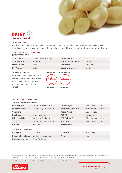

<span id="page-6-0"></span>

A mid season variety with high yields of oblong shaped cream to light yellow potato with yellow flesh. Daisy is well suited to general cooking but specialises in baking and roasting with a great potato flavour.

#### **consumer information**

| <b>Skin Colour</b>  | Cream to Light Yellow | <b>Tuber Shape</b>         | Oval    |
|---------------------|-----------------------|----------------------------|---------|
| <b>Skin Texture</b> | Smooth                | <b>Uniformity of Shape</b> | Good    |
| <b>Flesh Colour</b> | Yellow                | Eye Depth                  | Shallow |
| <b>Dry Matter</b>   | 23%                   | <b>Specific Gravity</b>    | 1.088   |

#### **cooking attributes**

General use and very good for dry baking, roasting and microwave. A firm cooking type potato with pleasing taste and a dense texture.

#### **suggested cooking styles**



#### **grower information**

**pest and disease resistance** 

| <b>Powdery Scab</b>   | Moderate Resistance           | <b>Tuber Blight</b>           | Slight Resistance           |
|-----------------------|-------------------------------|-------------------------------|-----------------------------|
| <b>Common Scab</b>    | <b>Moderately Susceptible</b> | <b>Potato Leaf Roll Virus</b> | Moderate Resistance         |
| Gangrene              |                               | <b>Potato Virus Y</b>         | Susceptible                 |
| <b>Black Leg</b>      | Good Resistance               | <b>PCN RO1</b>                | Resistant                   |
| <b>Foliage Blight</b> | Moderate Resistance           | PCN Pallida (2,3)             | <b>Slightly Susceptible</b> |
| <b>Scurf</b>          | <b>Moderately Susceptible</b> | <b>Black Dot</b>              | Slight Resistance           |
| <b>Dry Rot</b>        | Resistant                     | <b>Rhizoctonia</b>            |                             |
|                       |                               |                               |                             |

#### **agronomic attributes**

| <b>Dormancy</b>                            | Medium                                | <b>Maturity</b> | Main Crop |
|--------------------------------------------|---------------------------------------|-----------------|-----------|
|                                            | Damage Resistance Moderate Resistance | Yield           | High      |
| <b>Bruising Resistance</b> Good Resistance |                                       |                 |           |

Information here is a guide only. Results can vary greatly depending on climate, soil and local circumstances. This information sheet should not be used as a replacement for expert advice or judgement. All liability is excluded to the full extent permitted by law.

The variety Daisy is protected under the Plant Breeder's Rights Act. 1994. Unlawful propagation of Daisy is an offence under the Act.

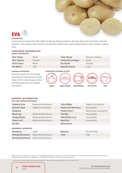

<span id="page-7-0"></span>

A mid season variety with high yields of oblong shaped potatoes. Eva has white skin and flesh coloured potatoes. The variety is well suited to the general market with a great potato flavour and versatile cooking uses.

#### **consumer information quality attributes**

| <b>QUALIT AIRIBUILS</b> |        |                            |                 |  |
|-------------------------|--------|----------------------------|-----------------|--|
| <b>Skin Colour</b>      | White  | <b>Tuber Shape</b>         | Round to Oblong |  |
| <b>Skin Texture</b>     | Smooth | <b>Uniformity of Shape</b> | Good            |  |
| <b>Flesh Colour</b>     | White  | <b>Eye Depth</b>           | Shallow         |  |
| <b>Dry Matter</b>       | 18%    | <b>Specific Gravity</b>    | 1.077           |  |

#### **cooking attributes**

Excellent potato for dry baking, roasting and making home-made chips. A firm cooking type potato with pleasing taste and slightly dry texture.

#### **suggested cooking styles**



#### **grower information**

**pest and disease resistance** 

| <b>Powdery Scab</b>         | Moderate Resistance         | <b>Tuber Blight</b>           | <b>Slightly Susceptible</b>   |
|-----------------------------|-----------------------------|-------------------------------|-------------------------------|
| <b>Common Scab</b>          | <b>Slightly Susceptible</b> | <b>Potato Leaf Roll Virus</b> | Susceptible                   |
| Gangrene                    |                             | <b>Potato Virus Y</b>         | <b>Moderately Susceptible</b> |
| <b>Black Leg</b>            | Moderate Resistance         | PCN RO <sub>1</sub>           | Susceptible                   |
| <b>Foliage Blight</b>       | Moderate Resistance         | PCN Pallida (2,3)             | Susceptible                   |
| <b>Silver Scurf</b>         | Moderate Resistance         | <b>Black Dot</b>              | Susceptible                   |
| <b>Dry Rot</b>              |                             | <b>Rhizoctonia</b>            |                               |
| <b>AGRONOMIC ATTRIBUTES</b> |                             |                               |                               |
| <b>Dormancy</b>             | Long                        | <b>Maturity</b>               | Second Early                  |
| <b>Damage Resistance</b>    | Moderate Resistance         | Yield                         | High                          |
| <b>Bruising Resistance</b>  | Moderate Resistance         |                               |                               |

Information here is a guide only. Results can vary greatly depending on climate, soil and local circumstances. This information sheet should not be used as a replacement for expert advice or judgement. All liability is excluded to the full extent permitted by law.

The variety Eva is protected under the Plant Breeder's Rights Act. 1994. Unlawful propagation of Eva is an offence under the Act.

**8**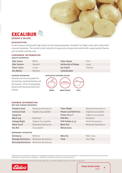<span id="page-8-0"></span>

A main season variety with high yields of oval shaped potatoes. Excalibur has light cream skin cream flesh coloured potatoes. The variety is well suited to the general and gourmet market with a great potato flavour and versatile cooking uses.

#### **consumer information**

|  | <b>QUALITY ATTRIBUTES</b> |
|--|---------------------------|
|--|---------------------------|

| <b>Skin Colour</b>  | White  | <b>Tuber Shape</b>         | Oval    |
|---------------------|--------|----------------------------|---------|
| <b>Skin Texture</b> | Smooth | <b>Uniformity of Shape</b> | Good    |
| <b>Flesh Colour</b> | Cream  | Eye Depth                  | Shallow |
| <b>Dry Matter</b>   | Medium | Carbohyrdate               |         |

#### **cooking attributes**

General use and very good for dry baking, roasting boiling and microwave. A firm cooking type potato with pleasing taste and texture.

#### **suggested cooking styles**



#### **grower information**

**pest and disease resistance** 

| <b>Powdery Scab</b>         | Moderate Resistance         | <b>Tuber Blight</b>           | Moderate Resistance         |
|-----------------------------|-----------------------------|-------------------------------|-----------------------------|
| <b>Common Scab</b>          | <b>Slightly Susceptible</b> | <b>Potato Leaf Roll Virus</b> | <b>Slightly Susceptible</b> |
| Gangrene                    |                             | <b>Potato Virus Y</b>         | <b>Slightly Susceptible</b> |
| <b>Black Leg</b>            | Resistant                   | <b>PCN RO1</b>                | Resistant                   |
| <b>Foliage Blight</b>       | <b>Slightly Susceptible</b> | PCN Pallida (2,3)             | Partial Resistance          |
| <b>Silver Scurf</b>         | Moderate Resistance         | <b>Black Dot</b>              | Moderate Resistance         |
| Dry Rot                     | Susceptible                 | <b>Rhizoctonia</b>            |                             |
| <b>AGRONOMIC ATTRIBUTES</b> |                             |                               |                             |
| <b>Dormancy</b>             | Medium                      | <b>Maturity</b>               | Main Crop                   |
| <b>Damage Resistance</b>    | Moderate Resistance         | Yield                         | Very High                   |
| <b>Bruising Resistance</b>  | Moderate Resistance         |                               |                             |

Information here is a guide only. Results can vary greatly depending on climate, soil and local circumstances. This information sheet should not be used as a replacement for expert advice or judgement. All liability is excluded to the full extent permitted by law.

The variety Excalibur is protected under the Plant Breeder's Rights Act. 1994. Unlawful propagation of Excalibur is an offence under the Act.

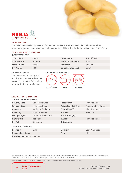

<span id="page-9-0"></span>

Fidelia is an early salad type variety for the fresh market. The variety has a high yield potential, an attractive appearance and very good culinary qualities. This variety is similar to Nicola and Dutch Cream.

#### **consumer information**

| <b>QUALITY ATTRIBUTES</b> |  |
|---------------------------|--|
|---------------------------|--|

| <b>Skin Colour</b>  | Yellow | <b>Tuber Shape</b>         | Round/Oval |
|---------------------|--------|----------------------------|------------|
| <b>Skin Texture</b> | Smooth | <b>Uniformity of Shape</b> | Even       |
| <b>Flesh Colour</b> | Yellow | Eye Depth                  | Shallow    |
| <b>Dry Matter</b>   | 18%    | Carbohydrate/100G          | 14.5%      |

#### **cooking attributes**

Fidelia is suited to baking and roasting and can be displayed as a washed product. A firm cooking potato with fine potato flavour.

#### **suggested cooking styles**



#### **grower information**

**pest and disease resistance** 

| <b>Powdery Scab</b>         | Good Resistance     | <b>Tuber Blight</b>           | High Resistance     |
|-----------------------------|---------------------|-------------------------------|---------------------|
| <b>Common Scab</b>          | High Resistance     | <b>Potato Leaf Roll Virus</b> | Moderate Resistance |
| Gangrene                    | Moderate Resistance | <b>Potato Virus Y</b>         | High Resistance     |
| <b>Black Leg</b>            | High Resistance     | <b>PCN RO1</b>                | Resistant           |
| <b>Foliage Blight</b>       | Moderate Resistance | PCN Pallida (2,3)             |                     |
| <b>Silver Scurf</b>         | Resistant           | <b>Black Dot</b>              | High Resistance     |
| <b>Dry Rot</b>              | Susceptible         | <b>Rhizoctonia</b>            |                     |
| <b>AGRONOMIC ATTRIBUTES</b> |                     |                               |                     |
| <b>Dormancy</b>             | Long                | <b>Maturity</b>               | Early Main Crop     |
| <b>Damage Resistance</b>    |                     | Yield                         | High                |
| <b>Bruising Resistance</b>  | Resistant           |                               |                     |

Information here is a guide only. Results can vary greatly depending on climate, soil and local circumstances. This information sheet should not be used as a replacement for expert advice or judgement. All liability is excluded to the full extent permitted by law.

The variety Fidelia is protected under the Plant Breeder's Rights Act. 1994. Unlawful propagation of Fidelia is an offence under the Act.

**10**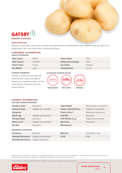

<span id="page-10-0"></span>

Gatsby is early main crop season variety with good yields and bold white tuber. Ideal for baking. Also has a bright white skin and cream flesh coloured potatoes.

#### **consumer information**

| <b>OUALITY ATTRIBUTES</b> |        |                            |         |
|---------------------------|--------|----------------------------|---------|
| <b>Skin Colour</b>        | White  | <b>Tuber Shape</b>         | Oval    |
| <b>Skin Texture</b>       | Smooth | <b>Uniformity of Shape</b> | Even    |
| <b>Flesh Colour</b>       | Cream  | <b>Eye Depth</b>           | Shallow |

**Dry Matter** 19% **Carbohydrate** 16.9%

#### **cooking attributes**

Gatsby is suited to a baking and roasting that is good enough to display as a washed product. A firm cooking type of potato with fine potato flavour.

#### **suggested cooking styles**



#### **grower information**

|  | PEST AND DISEASE RESISTANCE |
|--|-----------------------------|
|  |                             |

| <b>Powdery Scab</b>         | Resistant                   | <b>Tuber Blight</b>           | <b>Moderately Susceptible</b> |  |  |
|-----------------------------|-----------------------------|-------------------------------|-------------------------------|--|--|
| <b>Common Scab</b>          | <b>Slightly Susceptible</b> | <b>Potato Leaf Roll Virus</b> | <b>Slightly Susceptible</b>   |  |  |
| Gangrene                    |                             | <b>Potato Virus Y</b>         | Moderate Resistance           |  |  |
| <b>Black Leg</b>            | <b>Slightly Susceptible</b> | <b>PCN RO1</b>                | Resistant                     |  |  |
| <b>Foliage Blight</b>       | Resistant                   | PCN Pallida (2,3)             | <b>Slightly Susceptible</b>   |  |  |
| <b>Silver Scurf</b>         | <b>Slightly Susceptible</b> | <b>Black Dot</b>              | Resistant                     |  |  |
| Dry Rot                     | Resistant                   | <b>Rhizoctonia</b>            |                               |  |  |
| <b>AGRONOMIC ATTRIBUTES</b> |                             |                               |                               |  |  |

| Dormancy                                      | Medium | <b>Maturity</b> | Early Main Crop |
|-----------------------------------------------|--------|-----------------|-----------------|
| <b>Damage Resistance</b> Slightly Susceptible |        | Yield           | High            |
| <b>Bruising Resistance</b> Slightly Resistant |        |                 |                 |

Information here is a guide only. Results can vary greatly depending on climate, soil and local circumstances. This information sheet should not be used as a replacement for expert advice or judgement. All liability is excluded to the full extent permitted by law.

The variety Gatsby is protected under the Plant Breeder's Rights Act, 1994. Unlawful propagation is an offence under the Act.

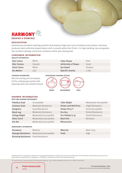<span id="page-11-0"></span>

Harmony has excellent washing qualities that produce high pack outs of medium sized tubers. Harmony produces bold uniformly shaped tubers with a smooth white skin finish. It is high yielding, low out-graded, has excellent damage and bruise resistance while also storing well.

#### **consumer information**

|  | <b>QUALITY ATTRIBUTES</b> |
|--|---------------------------|
|  |                           |

| <b>Skin Colour</b>  | White  | <b>Tuber Shape</b>         | Oval    |
|---------------------|--------|----------------------------|---------|
| <b>Skin Texture</b> | Smooth | <b>Uniformity of Shape</b> | Good    |
| <b>Flesh Colour</b> | White  | Eye Depth                  | Shallow |
| <b>Dry Matter</b>   | 14%    | <b>Specific Gravity</b>    | 1.060   |

#### **cooking attributes**

Best for boiling and microwave. A firm cooking type potato with pleasing taste and smooth texture.

#### **suggested cooking styles**





#### **grower information**

**pest and disease resistance** 

| <b>Powdery Scab</b>         | Susceptible                   | <b>Tuber Blight</b>           | <b>Moderately Susceptible</b> |
|-----------------------------|-------------------------------|-------------------------------|-------------------------------|
| <b>Common Scab</b>          | Moderate Resistance           | <b>Potato Leaf Roll Virus</b> | Slight Resistance             |
| Gangrene                    | Good Resistance               | <b>Potato Virus Y</b>         | <b>Fairly Susceptible</b>     |
| <b>Black Leg</b>            | Moderate Resistance           | Pcn Ro <sub>1</sub>           | Partial Resistance            |
| <b>Foliage Blight</b>       | <b>Moderately Susceptible</b> | Pcn Pallida (2,3)             | <b>Partial Resistance</b>     |
| <b>Silver Scurf</b>         | <b>Moderately Susceptible</b> | <b>Black Dot</b>              | Resistant                     |
| <b>Dry Rot</b>              | <b>Moderately Susceptible</b> | <b>Rhizoctonia</b>            |                               |
| <b>AGRONOMIC ATTRIBUTES</b> |                               |                               |                               |

#### **Dormancy** Medium **Maturity** Main Crop **Damage Resistance** Moderately Susceptible **Yield High** High **Bruising Resistance** Good Resistance

Information here is a guide only. Results can vary greatly depending on climate, soil and local circumstances. This information sheet should not be used as a replacement for expert advice or judgement. All liability is excluded to the full extent permitted by law.

The variety Harmony is protected under the Plant Breeder's Rights Act. 1994. Unlawful propagation of Harmony is an offence under the Act.

**12**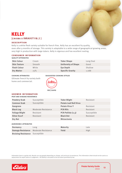#### <span id="page-12-0"></span>**KELLY [crisba x INRA95T118.2 ]**

#### **description**

Kelly is a white flesh variety suitable for french fries. Kelly has an excellent fry quality, even after 9 months of storage. This variety is adaptable to a wide range of geographical growing areas, very high in production with large tubers. Kelly is vigorous and has excellent rooting.

#### **consumer information**

| <b>QUALITY ATTRIBUTES</b>                                                             |                                              |                               |             |
|---------------------------------------------------------------------------------------|----------------------------------------------|-------------------------------|-------------|
| <b>Skin Colour</b>                                                                    | Cream                                        | <b>Tuber Shape</b>            | Long Oval   |
| <b>Skin Texture</b>                                                                   | Smooth                                       | <b>Uniformity of Shape</b>    | Good        |
| <b>Flesh Colour</b>                                                                   | White                                        | <b>Eye Depth</b>              | Shallow     |
| <b>Dry Matter</b>                                                                     | 23%                                          | <b>Specific Gravity</b>       | 1.088       |
| <b>COOKING ATTRIBUTES</b><br>Ultimate French fry variety both<br>home and commercial. | <b>SUGGESTED COOKING STYLES</b><br>FRY/CHIPS |                               |             |
| <b>GROWER INFORMATION</b><br><b>PEST AND DISEASE RESISTANCE</b>                       |                                              |                               |             |
| <b>Powdery Scab</b>                                                                   | Susceptible                                  | <b>Tuber Blight</b>           | Resistant   |
| <b>Common Scab</b>                                                                    | Susceptible                                  | <b>Potato Leaf Roll Virus</b> |             |
| <b>Gangrene</b>                                                                       |                                              | <b>Potato Virus Y</b>         | Resistant   |
| <b>Black Leg</b>                                                                      | Moderate Resistance                          | PCN RO <sub>1</sub>           | Resistant   |
| <b>Foliage Blight</b>                                                                 | Resistant                                    | PCN Pallida (2,3)             | Susceptible |
| <b>Silver Scurf</b>                                                                   | Resistant                                    | <b>Black Dot</b>              | Resistant   |
| <b>Dry Rot</b>                                                                        |                                              | Rhizoctonia                   |             |
| <b>AGRONOMIC ATTRIBUTES</b>                                                           |                                              |                               |             |
| <b>Dormancy</b>                                                                       | Long                                         | <b>Maturity</b>               | Late        |
| <b>Damage Resistance</b>                                                              | Moderate Resistance                          | <b>Yield</b>                  | High        |
| <b>Bruising Resistance</b>                                                            | Susceptible                                  |                               |             |

Information here is a guide only. Results can vary greatly depending on climate, soil and local circumstances. This information sheet should not be used as a replacement for expert advice or judgement. All liability is excluded to the full extent permitted by law.

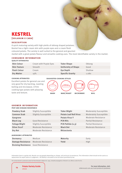## <span id="page-13-0"></span>KESTREL

#### **[solanum x cara]**

#### **description**

A quick maturing variety with high yields of oblong shaped potatoes. Kestrel has a light cream skin with purple eyes and a cream flesh coloured potato. The variety is well suited to the general and gourmet market with a great potato flavour and versatile cooking uses. The most identifiable variety in the market.

#### **consumer information quality attributes**

| <b>QUALITALINIDULES</b> |                        |                            |         |
|-------------------------|------------------------|----------------------------|---------|
| <b>Skin Colour</b>      | Cream with Purple Eyes | <b>Tuber Shape</b>         | Oblong  |
| <b>Skin Texture</b>     | Smooth                 | <b>Uniformity of Shape</b> | Good    |
| <b>Flesh Colour</b>     | Cream                  | Eye Depth                  | Shallow |
| <b>Dry Matter</b>       | 19%                    | <b>Specific Gravity</b>    | 1.080   |

#### **cooking attributes**

Excellent potato for general use and very good for dry backing, roasting boiling and microwave. A firm cooking type potato with pleasing taste and texture.

#### **suggested cooking styles**



#### **grower information**

| <b>PEST AND DISEASE RESISTANCE</b> |                             |                               |                               |  |  |  |
|------------------------------------|-----------------------------|-------------------------------|-------------------------------|--|--|--|
| <b>Powdery Scab</b>                | <b>Slightly Susceptible</b> | <b>Tuber Blight</b>           | <b>Moderately Susceptible</b> |  |  |  |
| <b>Common Scab</b>                 | <b>Slightly Susceptible</b> | <b>Potato Leaf Roll Virus</b> | <b>Moderately Susceptible</b> |  |  |  |
| Gangrene                           |                             | <b>Potato Virus Y</b>         | Moderate Resistance           |  |  |  |
| <b>Black Leg</b>                   | Good Resistance             | <b>PCN RO1</b>                | Partial Resistance            |  |  |  |
| <b>Foliage Blight</b>              | <b>Slightly Susceptible</b> | PCN Pallida (2,3)             | Partial Resistance            |  |  |  |
| <b>Silver Scurf</b>                | Moderate Resistance         | <b>Black Dot</b>              | Moderate Resistance           |  |  |  |
| <b>Dry Rot</b>                     | Moderate Resistance         | <b>Rhizoctonia</b>            |                               |  |  |  |
| <b>AGRONOMIC ATTRIBUTES</b>        |                             |                               |                               |  |  |  |
| <b>Dormancy</b>                    | Medium                      | <b>Maturity</b>               | Early                         |  |  |  |
| <b>Damage Resistance</b>           | Moderate Resistance         | Yield                         | High                          |  |  |  |
| <b>Bruising Resistance</b>         | Good Resistance             |                               |                               |  |  |  |

Information here is a guide only. Results can vary greatly depending on climate, soil and local circumstances. This information sheet should not be used as a replacement for expert advice or judgement. All liability is excluded to the full extent permitted by law.

The variety Kestrel is protected under the Plant Breeder's Rights Act. 1994. Unlawful propagation of Kestrel is an offence under the Act.

**14**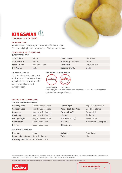<span id="page-14-0"></span>

A main season variety. A good alternative for Maris Piper. Exceptionally high marketable yields of bright, oval tubers.

#### **consumer information**

| <b>QUALITY ATTRIBUTES</b> |  |  |  |  |  |  |  |  |  |  |
|---------------------------|--|--|--|--|--|--|--|--|--|--|
|---------------------------|--|--|--|--|--|--|--|--|--|--|

| Skin Colour         | White         | <b>Tuber Shape</b>         | Short Oval          |
|---------------------|---------------|----------------------------|---------------------|
| <b>Skin Texture</b> | Smooth        | <b>Uniformity of Shape</b> | Good                |
| <b>Flesh Colour</b> | Medium Yellow | Eye Depth                  | <b>Very Shallow</b> |
| <b>Dry Matter</b>   | 22%           | <b>Specific Gravity</b>    | 1.088               |

#### **cooking attributes**

Kingsman is an early maincrop, bold, short-oval variety with very high yield, clear grower benefits and is probably our best tasting variety.

#### **suggested cooking styles**



Cooking type B. Good shape and dry matter level makes Kingsman suitable for a range of uses.

#### **grower information**

**pest and disease resistance**

| <b>Powdery Scab</b>   | <b>Slightly Susceptible</b> | <b>Tuber Blight</b>           | <b>Slightly Susceptible</b>   |
|-----------------------|-----------------------------|-------------------------------|-------------------------------|
| <b>Common Scab</b>    | <b>Slightly Susceptible</b> | <b>Potato Leaf Roll Virus</b> | Good Resistance               |
| Gangrene              | Moderate Resistance         | <b>Potato Virus Y</b>         | Susceptible                   |
| <b>Black Leg</b>      | Moderate Resistance         | PCN RO <sub>1</sub>           | Resistant                     |
| <b>Foliage Blight</b> | <b>Slightly Susceptible</b> | PCN Pallida (2,3)             | Susceptible                   |
| <b>Silver scurf</b>   | Good Resistance             | <b>Black Dot</b>              | <b>Moderately Susceptible</b> |
| Dry rot               | Good Resistance             | Rhizoctonia                   |                               |
|                       |                             |                               |                               |

#### **agronomic attributes**

| <b>Dormancy</b>                            | Long | <b>Maturity</b> | Main Crop |
|--------------------------------------------|------|-----------------|-----------|
| Damage Resistance Good Resistance          |      | Yield           | High      |
| <b>Bruising Resistance</b> Good Resistance |      |                 |           |

Information here is a guide only. Results can vary greatly depending on climate, soil and local circumstances. This information sheet should not be used as a replacement for expert advice or judgement. All liability is excluded to the full extent permitted by law.

The variety Kingsman is protected under the Plant Breeder's Rights Act, 1994. Unlawful propagation of Kingsman is an offence under the Act.

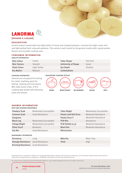<span id="page-15-0"></span>

A main season variety with very high yields of round oval shaped potatoes. Lanorma has light cream skin and light-yellow flesh coloured potatoes. The variety is well suited to the general market with a great potato flavour and versatile cooking uses.

#### **consumer information**

| <b>QUALITY ATTRIBUTES</b> |              |                            |           |
|---------------------------|--------------|----------------------------|-----------|
| <b>Skin Colour</b>        | Cream        | <b>Tuber Shape</b>         | Flat Oval |
| <b>Skin Texture</b>       | Smooth       | <b>Uniformity of Shape</b> | Good      |
| <b>Flesh Colour</b>       | Light Yellow | <b>Eye Depth</b>           | Shallow   |
| <b>Dry Matter</b>         | Medium       | Carbohydrate               |           |

#### **cooking attributes**

General use very good for boiling for salad, mashing, good for baking, roasting and microwave. Will make home chips. A firm cooking type potato with pleasing taste and texture.

#### **suggested cooking styles**



#### **grower information**

| <b>PEST AND DISEASE RESISTANCE</b> |                               |                               |                               |  |  |
|------------------------------------|-------------------------------|-------------------------------|-------------------------------|--|--|
| <b>Powdery Scab</b>                | <b>Moderately Susceptible</b> | <b>Tuber Blight</b>           | <b>Moderately Susceptible</b> |  |  |
| <b>Common Scab</b>                 | <b>Good Resistance</b>        | <b>Potato Leaf Roll Virus</b> | Moderate Resistance           |  |  |
| Gangrene                           |                               | <b>Potato Virus Y</b>         | Moderate Resistance           |  |  |
| <b>Black Leg</b>                   | <b>Moderately Susceptible</b> | <b>PCN RO1</b>                | Resistance                    |  |  |
| <b>Foliage Blight</b>              | <b>Moderately Susceptible</b> | PCN Pallida (2,3)             | Moderate Resistance           |  |  |
| <b>Silver Scurf</b>                | Resistant                     | <b>Black Dot</b>              | Moderate Resistance           |  |  |
| <b>Dry Rot</b>                     | Good Resistance               | <b>Rhizoctonia</b>            |                               |  |  |
| <b>AGRONOMIC ATTRIBUTES</b>        |                               |                               |                               |  |  |
| <b>Dormancy</b>                    | Long                          | <b>Maturity</b>               | Main Crop                     |  |  |
| <b>Damage Resistance</b>           | <b>Good Resistance</b>        | Yield                         | High                          |  |  |
| <b>Bruising Resistance</b>         | Good Resistance               |                               |                               |  |  |

Information here is a guide only. Results can vary greatly depending on climate, soil and local circumstances. This information sheet should not be used as a replacement for expert advice or judgement. All liability is excluded to the full extent permitted by law.

The variety Lanorma is protected under the Plant Breeder's Rights Act. 1994. Unlawful propagation of Lanorma is an offence under the Act.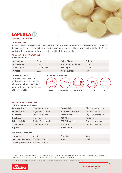

<span id="page-16-0"></span>

An early season variety with very high yields of oblong shaped potatoes and tolerates drought. Laperla has light cream skin and cream to light yellow flesh coloured potatoes. The variety is well suited to the fresh market with a sweet potato flavour which rated highly in taste testing.

#### **consumer information**

| <b>QUALITY ATTRIBUTES</b> |  |  |  |  |  |
|---------------------------|--|--|--|--|--|
|---------------------------|--|--|--|--|--|

and soft texture.

| <b>Skin Colour</b>               | Cream        |                                 | <b>Tuber Shape</b>         | Oblong  |  |
|----------------------------------|--------------|---------------------------------|----------------------------|---------|--|
| <b>Skin Texture</b>              | Smooth       |                                 | <b>Uniformity of Shape</b> | Good    |  |
| <b>Flesh Colour</b>              | Light Yellow |                                 | <b>Eye Depth</b>           | Shallow |  |
| <b>Dry Matter</b>                | 16%          |                                 | Carbohydrate               | 1.070   |  |
| <b>COOKING ATTRIBUTES</b>        |              | <b>SUGGESTED COOKING STYLES</b> |                            |         |  |
| General use and very good for    |              |                                 |                            |         |  |
| boiling for salads, mashing and  |              |                                 |                            | 鼺       |  |
| microwave. A firm cooking type   |              |                                 |                            |         |  |
| potato with pleasing sweet taste |              |                                 |                            |         |  |

**mash bake/roast microwave salad boil**

#### **grower information pest and disease resistance**

| <b>Powdery Scab</b>         | Good Resistance             | <b>Tuber Blight</b>           | <b>Slightly Susceptible</b> |
|-----------------------------|-----------------------------|-------------------------------|-----------------------------|
| <b>Common Scab</b>          | <b>Slightly Susceptible</b> | <b>Potato Leaf Roll Virus</b> | Good Resistance             |
| Gangrene                    | Good Resistance             | <b>Potato Virus Y</b>         | <b>Slightly Susceptible</b> |
| <b>Black Leg</b>            | Good Resistance             | <b>PCN RO1</b>                | Resistant                   |
| <b>Foliage Blight</b>       | <b>Slightly Susceptible</b> | PCN Pallida (2,3)             | Partial Resistance          |
| <b>Silver Scurf</b>         | Good Resistance             | <b>Black Dot</b>              | Good Resistance             |
| <b>Dry Rot</b>              |                             | <b>Rhizoctonia</b>            |                             |
| <b>AGRONOMIC ATTRIBUTES</b> |                             |                               |                             |
| <b>Dormancy</b>             | Short                       | <b>Maturity</b>               | Early                       |
| <b>Damage Resistance</b>    | Good Resistance             | Yield                         | High                        |
| <b>Bruising Resistance</b>  | Good Resistance             |                               |                             |

Information here is a guide only. Results can vary greatly depending on climate, soil and local circumstances. This information sheet should not be used as a replacement for expert advice or judgement. All liability is excluded to the full extent permitted by law.

The variety Laperla is protected under the Plant Breeder's Rights Act. 1994. Unlawful propagation of Laperla is an offence under the Act.

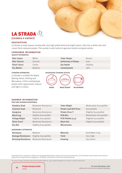<span id="page-17-0"></span>

La Strada is early season variety with very high yields bold and bright tubers. Also has a white skin and cream flesh coloured potato. The variety is well suited to general market and good yields.

#### **consumer information**

| <b>Skin Colour</b>  | White  | <b>Tuber Shape</b>         | Round   |
|---------------------|--------|----------------------------|---------|
| <b>Skin Texture</b> | Smooth | <b>Uniformity of Shape</b> | Even    |
| <b>Flesh Colour</b> | Cream  | Eye Depth                  | Shallow |
| <b>Dry Matter</b>   | Medium | Carbohydrate               | 18%     |

#### **cooking attributes**

La Strada is suitable for Mash, Baking, Roast, Boiling and Microwave. A firm cooking type potato with a good taste, texture and light in colour.

#### **suggested cooking styles**



#### **grower information**

**pest and disease resistance** 

| <b>Powdery Scab</b>         | Moderate Resistance         | <b>Tuber Blight</b>           | <b>Moderately Susceptible</b> |
|-----------------------------|-----------------------------|-------------------------------|-------------------------------|
| <b>Common Scab</b>          | Resistant                   | <b>Potato Leaf Roll Virus</b> | Susceptible                   |
| Gangrene                    | Moderate Resistance         | <b>Potato Virus Y</b>         | <b>Slightly Susceptible</b>   |
| <b>Black Leg</b>            | <b>Slightly Susceptible</b> | <b>PCN RO1</b>                | <b>Moderately Susceptible</b> |
| <b>Foliage Blight</b>       | <b>Slightly Susceptible</b> | PCN Pallida (2,3)             | <b>Slightly Susceptible</b>   |
| <b>Silver Scurf</b>         | Moderate Resistance         | <b>Black Dot</b>              | <b>Slightly Susceptible</b>   |
| <b>Dry Rot</b>              | <b>Slightly Susceptible</b> | <b>Rhizoctonia</b>            |                               |
| <b>AGRONOMIC ATTRIBUTES</b> |                             |                               |                               |
| <b>Dormancy</b>             | Medium                      | <b>Maturity</b>               | Early Main Crop               |
| Damago Docictance           | $CliohthClucohthlo$         | <b>NiniV</b>                  | <i>Vory</i> High              |

| Damage Resistance Slightly Susceptible |                                                | <b>Yield</b> | Very High  |
|----------------------------------------|------------------------------------------------|--------------|------------|
|                                        | <b>Bruising Resistance</b> Moderate Resistance | Growing      | Very Short |

Information here is a guide only. Results can vary greatly depending on climate, soil and local circumstances. This information sheet should not be used as a replacement for expert advice or judgement. All liability is excluded to the full extent permitted by law.

The variety La Strada is protected under the Plant Breeder's Rights Act. 1994. Unlawful propagation of La Strada is an offence under the Act.

**18**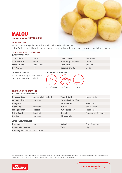

#### <span id="page-18-0"></span>MALOU **[oasis x inra 94T146.43]**

#### **description**

Malou is round shaped tuber with a bright yellow skin and medium yellow flesh. High yields with normal inputs, early maturing with no secondary growth issue in hot climates.

#### **consumer information quality attributes**

| <b>QUALITALIKIDULES</b> |              |                            |            |
|-------------------------|--------------|----------------------------|------------|
| <b>Skin Colour</b>      | Yellow       | <b>Tuber Shape</b>         | Short Oval |
| <b>Skin Texture</b>     | Smooth       | <b>Uniformity of Shape</b> | Good       |
| <b>Flesh Colour</b>     | Light Yellow | <b>Eye Depth</b>           | Shallow    |
| <b>Dry Matter</b>       | 19%          | <b>Specific Gravity</b>    | 1.080      |

#### **cooking attributes**

Malou has Buttery Flavour. Has a creamy texture when cooked.

#### **suggested cooking styles**



#### **grower information**

**pest and disease resistance** 

| <b>Powdery Scab</b>         | <b>Moderately Resistant</b> | <b>Tuber Blight</b>           | Susceptible                 |
|-----------------------------|-----------------------------|-------------------------------|-----------------------------|
| <b>Common Scab</b>          | Resistant                   | <b>Potato Leaf Roll Virus</b> |                             |
| Gangrene                    |                             | <b>Potato Virus Y</b>         | Resistant                   |
| <b>Black Leg</b>            | Resistant                   | PCN RO <sub>1</sub>           | Susceptible                 |
| <b>Foliage Blight</b>       | Susceptible                 | PCN Pallida (2,3)             | Resistant                   |
| <b>Silver Scurf</b>         | Resistant                   | <b>Black Dot</b>              | <b>Moderately Resistant</b> |
| <b>Dry Rot</b>              | Resistant                   | <b>Rhizoctonia</b>            |                             |
| <b>AGRONOMIC ATTRIBUTES</b> |                             |                               |                             |

| <b>Dormancy</b>                        | Long | <b>Maturity</b> | Early Maincrop |
|----------------------------------------|------|-----------------|----------------|
| <b>Damage Resistance</b>               |      | Yield           | High           |
| <b>Bruising Resistance</b> Susceptible |      |                 |                |

Information here is a guide only. Results can vary greatly depending on climate, soil and local circumstances. This information sheet should not be used as a replacement for expert advice or judgement. All liability is excluded to the full extent permitted by law.

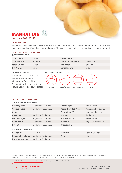<span id="page-19-0"></span>

Manhattan is early main crop season variety with high yields and short oval shape potato. Also has a bright cream skin and is a White flash coloured potato. The variety is well suited to general market and yields well.

#### **consumer information**

| <b>QUALITY ATTRIBUTES</b> |  |
|---------------------------|--|
|---------------------------|--|

| <b>Skin Colour</b>  | White  | <b>Tuber Shape</b>         | Oval      |
|---------------------|--------|----------------------------|-----------|
| <b>Skin Texture</b> | Smooth | <b>Uniformity of Shape</b> | Very Even |
| <b>Flesh Colour</b> | Cream  | Eye Depth                  | Shallow   |
| <b>Dry Matter</b>   | 20%    | Carbohydrate               | 17%       |

#### **cooking attributes**

Manhattan is suitable for Mash, Baking, Roast, Boiling and Microwave. A firm cooking Type potato with a good taste and texture. Very good all-round potato.

#### **suggested cooking styles**



#### **grower information**

**pest and disease resistance** 

| <b>Powdery Scab</b>         | <b>Slightly Susceptible</b> | <b>Tuber Blight</b>           | Susceptible                 |
|-----------------------------|-----------------------------|-------------------------------|-----------------------------|
| <b>Common Scab</b>          | Moderate Resistance         | <b>Potato Leaf Roll Virus</b> | Moderate Resistance         |
| Gangrene                    |                             | <b>Potato Virus Y</b>         | Moderate Resistance         |
| <b>Black Leg</b>            | Moderate Resistance         | <b>PCN RO1</b>                | Resistant                   |
| <b>Foliage Blight</b>       | <b>Slightly Susceptible</b> | PCN Pallida (2,3)             | Susceptible                 |
| <b>Silver Scurf</b>         | <b>Slightly Susceptible</b> | <b>Black Dot</b>              | <b>Slightly Susceptible</b> |
| <b>Dry Rot</b>              | Moderate Resistance         | <b>Rhizoctonia</b>            |                             |
| <b>AGRONOMIC ATTRIBUTES</b> |                             |                               |                             |
| <b>Dormancy</b>             | Medium                      | <b>Maturity</b>               | Early Main Crop             |

| <b>Dormancy</b> | Medium                                         | <b>Maturity</b> | Early Main Crop |
|-----------------|------------------------------------------------|-----------------|-----------------|
|                 | Damage Resistance Moderate Resistance          | Yield           | High            |
|                 | <b>Bruising Resistance</b> Moderate Resistance |                 |                 |

Information here is a guide only. Results can vary greatly depending on climate, soil and local circumstances. This information sheet should not be used as a replacement for expert advice or judgement. All liability is excluded to the full extent permitted by law.

The variety Manhattan is protected under the Plant Breeder's Rights Act. 1994. Unlawful propagation of Manhattan is an offence under the Act.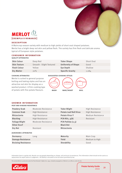<span id="page-20-0"></span>

A Maincrop season variety with medium to high yields of short oval shaped potatoes. Merlot has a bright deep red skin and yellow flesh. The variety has firm flesh and delicate aroma typical of European style potatoes.

#### **consumer information**

| <b>QUALITY ATTRIBUTES</b> |
|---------------------------|
|---------------------------|

| <b>Skin Colour</b>  | Deep Red                 | <b>Tuber Shape</b>         | Short Oval |
|---------------------|--------------------------|----------------------------|------------|
| <b>Skin Texture</b> | Smooth - Slight Textured | <b>Uniformity of Shape</b> | Good       |
| <b>Flesh Colour</b> | Yellow                   | <b>Eye Depth</b>           | Shallow    |
| <b>Dry Matter</b>   | 20%                      | <b>Specific Gravity</b>    | 1.084      |

#### **cooking attributes**

Merlot is suited to general purpose boiling and baking styles and has an attractive red skin for display as a washed product. A firm cooking type of potato with fine potato flavours.

#### **suggested cooking styles**



#### **grower information**

**pest and disease resistance** 

| <b>Powdery Scab</b>         | Moderate Resistance | <b>Tuber Blight</b>           | High Resistance   |
|-----------------------------|---------------------|-------------------------------|-------------------|
| <b>Common Scab</b>          | High Resistance     | <b>Potato Leaf Roll Virus</b> | High Resistance   |
| <b>Rhizoctonia</b>          | High Resistance     | <b>Potato Virus Y</b>         | Medium Resistance |
| <b>Blackleg</b>             | High Resistance     | <b>PCN RO1, 4(A)</b>          | Resistant         |
| <b>Foliage Blight</b>       | Moderate Resistance | PCN Pallida (2,3)             |                   |
| <b>Silver Scurf</b>         |                     | <b>Black Dot</b>              |                   |
| Dry Rot                     | Resistant           | <b>Rhizoctonia</b>            |                   |
| <b>AGRONOMIC ATTRIBUTES</b> |                     |                               |                   |
| <b>Dormancy</b>             | Long                | <b>Maturity</b>               | Main Crop         |
| <b>Damage Resistance</b>    |                     | Yield                         | Medium to High    |
| <b>Bruising Resistance</b>  |                     | <b>Storability</b>            | Good              |

Information here is a guide only. Results can vary greatly depending on climate, soil and local circumstances. This information sheet should not be used as a replacement for expert advice or judgement. All liability is excluded to the full extent permitted by law.

The variety Merlot is protected under the Plant Breeder's Rights Act, 1994. Unlawful propagation of Merlot is an offence under the Act.

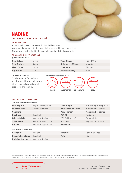

#### <span id="page-21-0"></span>NADINE **[solanum vernei polycross]**

#### **description**

An early main season variety with high yields of round oval shaped potatoes. Nadine has a bright cream skin and cream flesh. The variety is well suited to the general market and yields very well.

#### **consumer information**

#### **quality attributes**

| <b>Skin Colour</b>  | Cream  | <b>Tuber Shape</b>         | Round Oval |
|---------------------|--------|----------------------------|------------|
| <b>Skin Texture</b> | Smooth | <b>Uniformity of Shape</b> | Very Good  |
| <b>Flesh Colour</b> | Cream  | Eye Depth                  | Shallow    |
| <b>Dry Matter</b>   | 14%    | <b>Specific Gravity</b>    | 1.060      |

#### **cooking attributes**

Excellent potato for dry baking, roasting, mashing and microwave. A firm cooking type potato with good taste and texture.

#### **suggested cooking styles**



#### **grower information**

**pest and disease resistance** 

| <b>Powdery Scab</b>         | <b>Slightly Susceptible</b> | <b>Tuber Blight</b>           | <b>Moderately Susceptible</b> |
|-----------------------------|-----------------------------|-------------------------------|-------------------------------|
| <b>Common Scab</b>          | <b>Slight Resistance</b>    | <b>Potato Leaf Roll Virus</b> | Moderate Resistance           |
| Gangrene                    |                             | <b>Potato Virus Y</b>         | Moderate Resistance           |
| <b>Black Leg</b>            | Resistant                   | <b>PCN RO1</b>                | Resistant                     |
| <b>Foliage Blight</b>       | Moderate Resistance         | PCN Pallida (2,3)             | Susceptible                   |
| <b>Silver Scurf</b>         | Moderate Resistance         | <b>Black Dot</b>              | <b>Slightly Susceptible</b>   |
| <b>Dry Rot</b>              | Moderate Resistance         | <b>Rhizoctonia</b>            |                               |
| <b>AGRONOMIC ATTRIBUTES</b> |                             |                               |                               |
| <b>Dormancy</b>             | Medium                      | <b>Maturity</b>               | Early Main Crop               |
| <b>Damage Resistance</b>    | Resistant                   | Yield                         | High                          |

Information here is a guide only. Results can vary greatly depending on climate, soil and local circumstances. This information sheet should not be used as a replacement for expert advice or judgement. All liability is excluded to the full extent permitted by law.

**Bruising Resistance** Moderate Resistance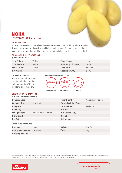#### <span id="page-22-0"></span>**NOHA [G90TT032 003 x caesar]**

#### **description**

Noha is a variety with an overall good general aspect and uniform oblong tubers, A yellow flesh main crop variety, displaying good behaviour in storage. This variety was bred to suit Mediterranean conditions and has good conservation behaviour. It has a nice skin finish.

#### **consumer information**

| <b>QUALITY ATTRIBUTES</b> |  |
|---------------------------|--|
|---------------------------|--|

| Skin Colour         | Yellow | <b>Tuber Shape</b>         | Long    |
|---------------------|--------|----------------------------|---------|
| <b>Skin Texture</b> | Smooth | <b>Uniformity of Shape</b> | Good    |
| <b>Flesh Colour</b> | Yellow | Eye Depth                  | Shallow |
| <b>Dry Matter</b>   | 18%    | <b>Specific Gravity</b>    | 1.076   |

#### **cooking attributes**

A special home french fry variety, Noha has excellent culinary quality. With good long term storage ability

#### **suggested cooking styles**



#### **grower information**

**pest and disease resistance** 

| <b>Powdery Scab</b>         |                             | <b>Tuber Blight</b>           | <b>Moderately Resistant</b> |
|-----------------------------|-----------------------------|-------------------------------|-----------------------------|
| <b>Common Scab</b>          | Resistant                   | <b>Potato Leaf Roll Virus</b> |                             |
| Gangrene                    |                             | <b>Potato Virus Y</b>         | Resistant                   |
| <b>Black Leg</b>            |                             | <b>PCN RO1</b>                |                             |
| <b>Foliage Blight</b>       | <b>Moderately Resistant</b> | PCN Pallida (2,3)             |                             |
| <b>Silver Scurf</b>         |                             | <b>Black Dot</b>              |                             |
| Dry Rot                     |                             | <b>Rhizoctonia</b>            |                             |
| <b>AGRONOMIC ATTRIBUTES</b> |                             |                               |                             |
| <b>Dormancy</b>             | Long                        | <b>Maturity</b>               | Mid Crop                    |
| <b>Damage Resistance</b>    | Resistant                   | Yield                         | High                        |
| <b>Bruising Resistance</b>  |                             |                               |                             |

Information here is a guide only. Results can vary greatly depending on climate, soil and local circumstances. This information sheet should not be used as a replacement for expert advice or judgement. All liability is excluded to the full extent permitted by law.

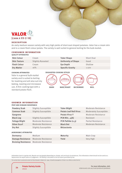

<span id="page-23-0"></span>

An early medium season variety with very high yields of short oval shaped potatoes. Valor has a cream skin and is a cream flesh colour potato. The variety is well suited to general boiling for the bulk market.

#### **consumer information**

| <b>QUALITY ATTRIBUTES</b> |                          |                            |            |
|---------------------------|--------------------------|----------------------------|------------|
| <b>Skin Colour</b>        | Cream                    | <b>Tuber Shape</b>         | Short Oval |
| <b>Skin Texture</b>       | <b>Slightly Russeted</b> | <b>Uniformity of Shape</b> | Good       |
| <b>Flesh Colour</b>       | Cream                    | <b>Eye Depth</b>           | Shallow    |
| <b>Dry Matter</b>         | 16%                      | <b>Specific Gravity</b>    | 1.070      |

#### **cooking attributes**

Valor is a general bulk market variety and is suited to boiling for mashing and will also suit dry baking, roasting and microwave use. A firm cooking type with a standard potato flesh.

#### **suggested cooking styles**



#### **grower information**

|  |  | <b>PEST AND DISEASE RESISTANCE</b> |  |
|--|--|------------------------------------|--|
|--|--|------------------------------------|--|

| <b>Powdery Scab</b>         | <b>Slightly Susceptible</b> | <b>Tuber Blight</b>           | Moderate Resistance           |
|-----------------------------|-----------------------------|-------------------------------|-------------------------------|
| <b>Common Scab</b>          | <b>Slightly Susceptible</b> | <b>Potato Leaf Roll Virus</b> | <b>Moderately Susceptible</b> |
| Gangrene                    |                             | <b>Potato Virus Y</b>         | Moderate Resistance           |
| <b>Black Leg</b>            | <b>Slightly Susceptible</b> | PCN $RO1$ , $4(A)$            | Resistant                     |
| <b>Foliage Blight</b>       | Moderate Resistance         | PCN Pallida (2,3)             | Partial Resistance            |
| <b>Silver Scurf</b>         | Moderate Resistance         | <b>Black Dot</b>              | Moderate Resistance           |
| <b>Dry Rot</b>              | <b>Slightly Susceptible</b> | <b>Rhizoctonia</b>            |                               |
| <b>AGRONOMIC ATTRIBUTES</b> |                             |                               |                               |
| <b>Dormancy</b>             | Medium                      | <b>Maturity</b>               | Main Crop                     |
| <b>Damage Resistance</b>    | Moderate Resistance         | Yield                         | Very High                     |
| <b>Bruising Resistance</b>  | Moderate Resistance         |                               |                               |

Information here is a guide only. Results can vary greatly depending on climate, soil and local circumstances. This information sheet should not be used as a replacement for expert advice or judgement. All liability is excluded to the full extent permitted by law.

The variety Valor is protected under the Plant Breeder's Rights Act. 1994. Unlawful propagation of Valor is an offence under the Act.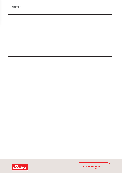| <b>NOTES</b> |  |  |  |
|--------------|--|--|--|
|              |  |  |  |
|              |  |  |  |
|              |  |  |  |
|              |  |  |  |
|              |  |  |  |
|              |  |  |  |
|              |  |  |  |
|              |  |  |  |
|              |  |  |  |
|              |  |  |  |
|              |  |  |  |
|              |  |  |  |
|              |  |  |  |
|              |  |  |  |
|              |  |  |  |
|              |  |  |  |
|              |  |  |  |
|              |  |  |  |
|              |  |  |  |
|              |  |  |  |
|              |  |  |  |
|              |  |  |  |
|              |  |  |  |
|              |  |  |  |
|              |  |  |  |
|              |  |  |  |
|              |  |  |  |
|              |  |  |  |
|              |  |  |  |

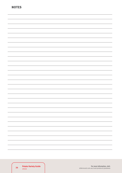| <b>NOTES</b> |  |  |
|--------------|--|--|
|              |  |  |
|              |  |  |
|              |  |  |
|              |  |  |
|              |  |  |
|              |  |  |
|              |  |  |
|              |  |  |
|              |  |  |
|              |  |  |
|              |  |  |
|              |  |  |
|              |  |  |
|              |  |  |
|              |  |  |
|              |  |  |
|              |  |  |
|              |  |  |
|              |  |  |
|              |  |  |
|              |  |  |
|              |  |  |
|              |  |  |
|              |  |  |
|              |  |  |
|              |  |  |
|              |  |  |
|              |  |  |
|              |  |  |
|              |  |  |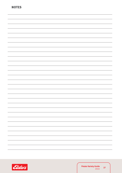| <b>NOTES</b> |  |  |  |
|--------------|--|--|--|
|              |  |  |  |
|              |  |  |  |
|              |  |  |  |
|              |  |  |  |
|              |  |  |  |
|              |  |  |  |
|              |  |  |  |
|              |  |  |  |
|              |  |  |  |
|              |  |  |  |
|              |  |  |  |
|              |  |  |  |
|              |  |  |  |
|              |  |  |  |
|              |  |  |  |
|              |  |  |  |
|              |  |  |  |
|              |  |  |  |
|              |  |  |  |
|              |  |  |  |
|              |  |  |  |
|              |  |  |  |
|              |  |  |  |
|              |  |  |  |
|              |  |  |  |
|              |  |  |  |
|              |  |  |  |
|              |  |  |  |

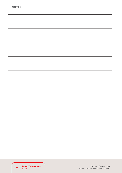| <b>NOTES</b> |  |  |
|--------------|--|--|
|              |  |  |
|              |  |  |
|              |  |  |
|              |  |  |
|              |  |  |
|              |  |  |
|              |  |  |
|              |  |  |
|              |  |  |
|              |  |  |
|              |  |  |
|              |  |  |
|              |  |  |
|              |  |  |
|              |  |  |
|              |  |  |
|              |  |  |
|              |  |  |
|              |  |  |
|              |  |  |
|              |  |  |
|              |  |  |
|              |  |  |
|              |  |  |
|              |  |  |
|              |  |  |
|              |  |  |
|              |  |  |
|              |  |  |
|              |  |  |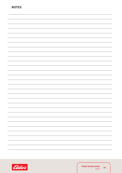| <b>NOTES</b> |  |  |  |
|--------------|--|--|--|
|              |  |  |  |
|              |  |  |  |
|              |  |  |  |
|              |  |  |  |
|              |  |  |  |
|              |  |  |  |
|              |  |  |  |
|              |  |  |  |
|              |  |  |  |
|              |  |  |  |
|              |  |  |  |
|              |  |  |  |
|              |  |  |  |
|              |  |  |  |
|              |  |  |  |
|              |  |  |  |
|              |  |  |  |
|              |  |  |  |
|              |  |  |  |
|              |  |  |  |
|              |  |  |  |
|              |  |  |  |
|              |  |  |  |
|              |  |  |  |
|              |  |  |  |
|              |  |  |  |
|              |  |  |  |
|              |  |  |  |

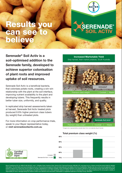

## Results you can see to believe

## SERENADE<sup>®</sup><br>SOIL ACTIV

**Serenade® Soil Activ is a soil-optimised addition to the Serenade family, developed to achieve superior colonisation of plant roots and improved uptake of soil resources.**

Serenade Soil Activ is a beneficial bacteria, that colonises potato roots, creating a win-win relationship with the plant at the soil interface, improving nutrient availability to the plant and developing tubers. This frequently results in better tuber size, uniformity, and quality.

In replicated strip harvest assessments taken at harvest, Serenade Soil Activ treated plots produced 9.9% higher premium class tubers (by weight) than untreated plots.

For more information on crop performance trials, speak to your Bayer representative today, or **visit serenadesoilactiv.com.au**

**Increased Marketable Yield** Strip harvest, fresh market potatoes, South Australia





\*Images are a representative sample taken from one replicate dig at harvest.

#### **Total premium class weight (%)**



ppScience Pty Ltd, ABN 87 000 226 022, Level 1, 8 Redfern Road, Hawthorn East, Victoria 3123. Technical Enquiries 1800 804 479. crop.bayer.com.au. Always consult the product label for de<br>pn. The information and recommendat eved to be reliable at the time of publication. Results may vary, as the use and application of the ct is beyond our control and may be subject to climatic, geographical or biological variables, and/or developed resistance. Any product referred to in this brochure must be used strictly as di<br>accordance with all instructi wfully able to do so, Bayer Cro mark of the Baver Group. BHO0267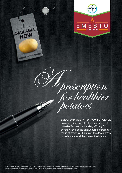

# prescription<br>for healthier botatoes

#### EMESTO® PRIME IN-FURROW FUNGICIDE

is a convenient and effective treatment that provides farmers outstanding efficacy for control of soil-borne black scurf. Its alternative mode of action will help slow the development of resistance to all the current treatments.

NAILABLE

and re